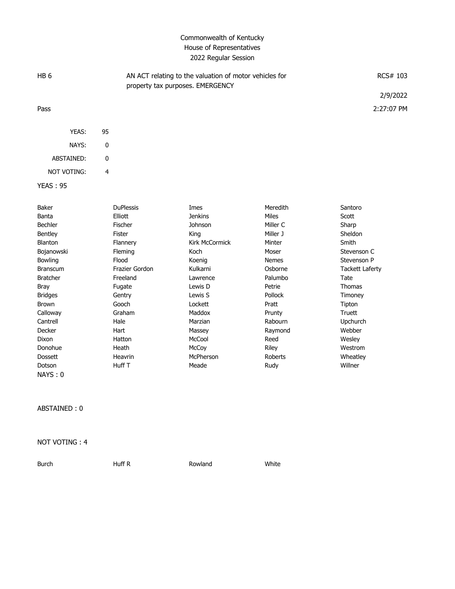## Commonwealth of Kentucky House of Representatives 2022 Regular Session

| HB <sub>6</sub> |    | AN ACT relating to the valuation of motor vehicles for<br>property tax purposes. EMERGENCY | RCS# 103   |
|-----------------|----|--------------------------------------------------------------------------------------------|------------|
|                 |    |                                                                                            | 2/9/2022   |
| Pass            |    |                                                                                            | 2:27:07 PM |
|                 |    |                                                                                            |            |
| YEAS:           | 95 |                                                                                            |            |
| NAYS:           | 0  |                                                                                            |            |
| ABSTAINED:      | 0  |                                                                                            |            |
| NOT VOTING:     | 4  |                                                                                            |            |

YEAS : 95

| Baker           | <b>DuPlessis</b> | Imes                  | Meredith       | Santoro                |
|-----------------|------------------|-----------------------|----------------|------------------------|
| Banta           | Elliott          | <b>Jenkins</b>        | <b>Miles</b>   | Scott                  |
| Bechler         | Fischer          | Johnson               | Miller C       | Sharp                  |
| <b>Bentley</b>  | Fister           | King                  | Miller J       | Sheldon                |
| Blanton         | Flannery         | <b>Kirk McCormick</b> | Minter         | Smith                  |
| Bojanowski      | <b>Fleming</b>   | Koch                  | Moser          | Stevenson C            |
| <b>Bowling</b>  | Flood            | Koenig                | <b>Nemes</b>   | Stevenson P            |
| <b>Branscum</b> | Frazier Gordon   | Kulkarni              | Osborne        | <b>Tackett Laferty</b> |
| <b>Bratcher</b> | Freeland         | Lawrence              | Palumbo        | Tate                   |
| Bray            | Fugate           | Lewis D               | Petrie         | <b>Thomas</b>          |
| <b>Bridges</b>  | Gentry           | Lewis S               | <b>Pollock</b> | Timoney                |
| <b>Brown</b>    | Gooch            | Lockett               | Pratt          | Tipton                 |
| Calloway        | Graham           | Maddox                | Prunty         | Truett                 |
| Cantrell        | Hale             | Marzian               | Rabourn        | <b>Upchurch</b>        |
| Decker          | Hart             | Massey                | Raymond        | Webber                 |
| Dixon           | Hatton           | McCool                | Reed           | Wesley                 |
| Donohue         | Heath            | McCoy                 | Riley          | Westrom                |
| <b>Dossett</b>  | Heavrin          | McPherson             | Roberts        | Wheatley               |
| Dotson          | Huff T           | Meade                 | Rudy           | Willner                |
| NAYS:0          |                  |                       |                |                        |

ABSTAINED : 0

NOT VOTING : 4

Burch **Huff R** Rowland White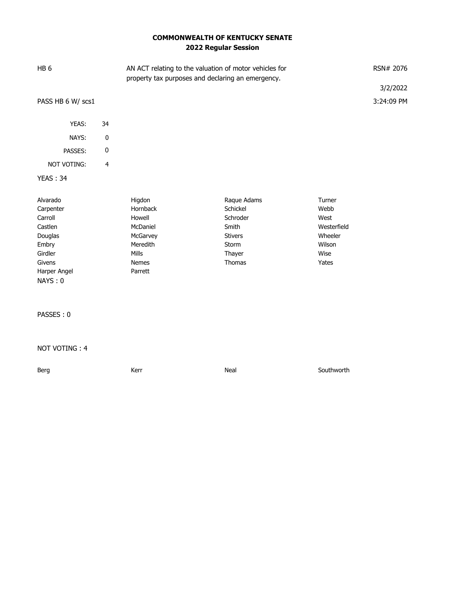## **COMMONWEALTH OF KENTUCKY SENATE 2022 Regular Session**

| HB <sub>6</sub>                                                                                                 |                         | AN ACT relating to the valuation of motor vehicles for<br>property tax purposes and declaring an emergency. |                                                                                             |                                                                             |
|-----------------------------------------------------------------------------------------------------------------|-------------------------|-------------------------------------------------------------------------------------------------------------|---------------------------------------------------------------------------------------------|-----------------------------------------------------------------------------|
|                                                                                                                 |                         |                                                                                                             |                                                                                             | 3/2/2022                                                                    |
| PASS HB 6 W/ scs1                                                                                               |                         |                                                                                                             |                                                                                             | 3:24:09 PM                                                                  |
|                                                                                                                 |                         |                                                                                                             |                                                                                             |                                                                             |
| YEAS:                                                                                                           | 34                      |                                                                                                             |                                                                                             |                                                                             |
| NAYS:                                                                                                           | $\pmb{0}$               |                                                                                                             |                                                                                             |                                                                             |
| PASSES:                                                                                                         | $\pmb{0}$               |                                                                                                             |                                                                                             |                                                                             |
| NOT VOTING:                                                                                                     | $\overline{\mathbf{4}}$ |                                                                                                             |                                                                                             |                                                                             |
| <b>YEAS: 34</b>                                                                                                 |                         |                                                                                                             |                                                                                             |                                                                             |
| Alvarado<br>Carpenter<br>Carroll<br>Castlen<br>Douglas<br>Embry<br>Girdler<br>Givens<br>Harper Angel<br>NAYS: 0 |                         | Higdon<br>Hornback<br>Howell<br>McDaniel<br>McGarvey<br>Meredith<br>Mills<br>Nemes<br>Parrett               | Raque Adams<br>Schickel<br>Schroder<br>Smith<br><b>Stivers</b><br>Storm<br>Thayer<br>Thomas | Turner<br>Webb<br>West<br>Westerfield<br>Wheeler<br>Wilson<br>Wise<br>Yates |
| PASSES: 0                                                                                                       |                         |                                                                                                             |                                                                                             |                                                                             |
| NOT VOTING: 4                                                                                                   |                         |                                                                                                             |                                                                                             |                                                                             |
| Berg                                                                                                            |                         | Kerr                                                                                                        | Neal                                                                                        | Southworth                                                                  |